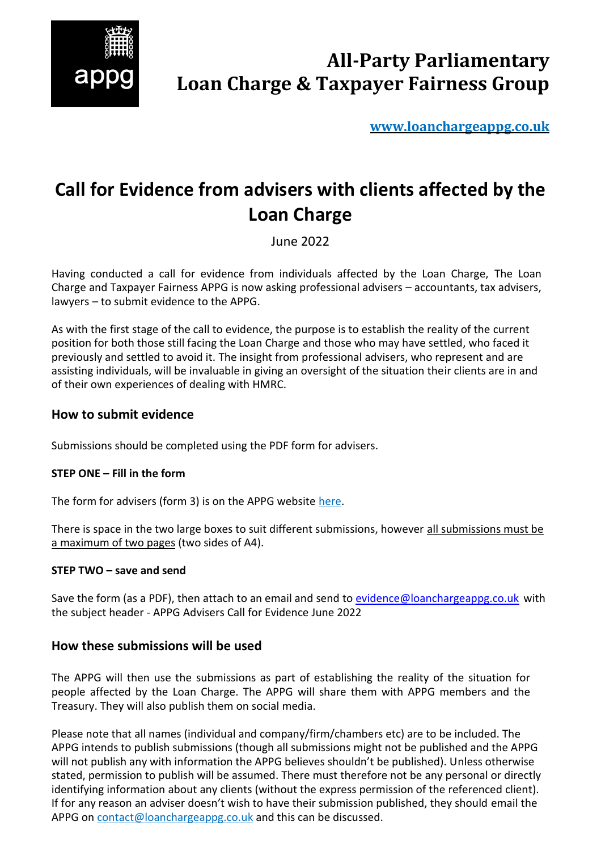

**[www.loanchargeappg.co.uk](http://www.loanchargeappg.co.uk/)**

# **Call for Evidence from advisers with clients affected by the Loan Charge**

June 2022

Having conducted a call for evidence from individuals affected by the Loan Charge, The Loan Charge and Taxpayer Fairness APPG is now asking professional advisers – accountants, tax advisers, lawyers – to submit evidence to the APPG.

As with the first stage of the call to evidence, the purpose is to establish the reality of the current position for both those still facing the Loan Charge and those who may have settled, who faced it previously and settled to avoid it. The insight from professional advisers, who represent and are assisting individuals, will be invaluable in giving an oversight of the situation their clients are in and of their own experiences of dealing with HMRC.

# **How to submit evidence**

Submissions should be completed using the PDF form for advisers.

# **STEP ONE – Fill in the form**

The form for advisers (form 3) is on the APPG website [here.](http://www.loanchargeappg.co.uk/wp-content/uploads/2022/06/2022-06-01-CFE-Form-3-Advisers.pdf)

There is space in the two large boxes to suit different submissions, however all submissions must be a maximum of two pages (two sides of A4).

#### **STEP TWO – save and send**

Save the form (as a PDF), then attach to an email and send to [evidence@loanchargeappg.co.uk](mailto:evidence@loanchargeappg.co.uk?subject=APPG%20Advisers%20Call%20for%20Evidence%20June%202022) with the subject header - APPG Advisers Call for Evidence June 2022

# **How these submissions will be used**

The APPG will then use the submissions as part of establishing the reality of the situation for people affected by the Loan Charge. The APPG will share them with APPG members and the Treasury. They will also publish them on social media.

Please note that all names (individual and company/firm/chambers etc) are to be included. The APPG intends to publish submissions (though all submissions might not be published and the APPG will not publish any with information the APPG believes shouldn't be published). Unless otherwise stated, permission to publish will be assumed. There must therefore not be any personal or directly identifying information about any clients (without the express permission of the referenced client). If for any reason an adviser doesn't wish to have their submission published, they should email the APPG on [contact@loanchargeappg.co.uk](mailto:contact@loanchargeappg.co.uk) and this can be discussed.